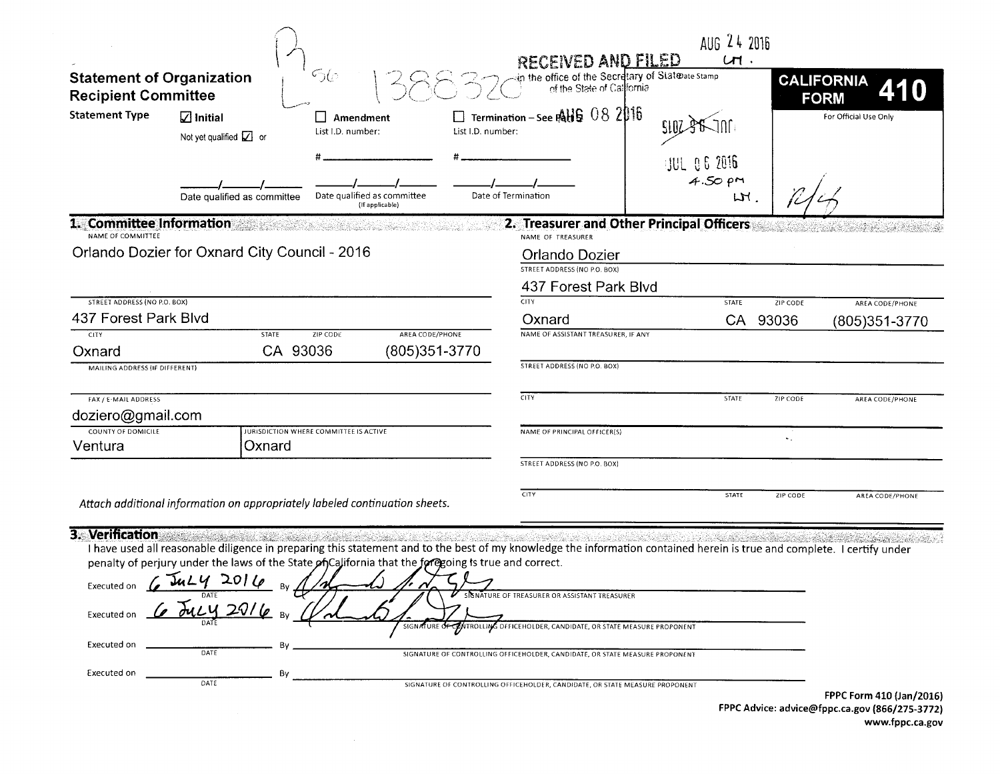|                                                                |                                                                                                                                                                                                                                                                                                                                                                                  |                                                |                                                                                                                                                                                                                          | AUG 24 2016<br><b>RECEIVED AND FILED</b><br>Sin the office of the Secretary of Statebate stamp<br>of the State of California<br>$U\mathsf{H}$ . |                                    |  |  |
|----------------------------------------------------------------|----------------------------------------------------------------------------------------------------------------------------------------------------------------------------------------------------------------------------------------------------------------------------------------------------------------------------------------------------------------------------------|------------------------------------------------|--------------------------------------------------------------------------------------------------------------------------------------------------------------------------------------------------------------------------|-------------------------------------------------------------------------------------------------------------------------------------------------|------------------------------------|--|--|
| <b>Statement of Organization</b><br><b>Recipient Committee</b> |                                                                                                                                                                                                                                                                                                                                                                                  | <u>රැ</u>                                      |                                                                                                                                                                                                                          |                                                                                                                                                 | <b>CALIFORNIA</b><br><b>FORM</b>   |  |  |
| <b>Statement Type</b>                                          | $\sqrt{ }$ Initial<br>Not yet qualified $\boxed{\angle}$ or                                                                                                                                                                                                                                                                                                                      | $\Box$ Amendment<br>List I.D. number:          | $\square$ Termination – See RHS 08 2016<br>List I.D. number:                                                                                                                                                             |                                                                                                                                                 | For Official Use Only              |  |  |
|                                                                | Date qualified as committee                                                                                                                                                                                                                                                                                                                                                      | Date qualified as committee<br>(If applicable) | Date of Termination                                                                                                                                                                                                      | <b>JUL 06 2016</b><br>$4.50$ pm<br>LH                                                                                                           |                                    |  |  |
| 1. Committee Information<br>NAME OF COMMITTEE                  |                                                                                                                                                                                                                                                                                                                                                                                  |                                                | NAME OF TREASURER                                                                                                                                                                                                        | 2. Treasurer and Other Principal Officers                                                                                                       |                                    |  |  |
| Orlando Dozier for Oxnard City Council - 2016                  |                                                                                                                                                                                                                                                                                                                                                                                  |                                                |                                                                                                                                                                                                                          | Orlando Dozier<br>STREET ADDRESS (NO P.O. BOX)                                                                                                  |                                    |  |  |
|                                                                |                                                                                                                                                                                                                                                                                                                                                                                  |                                                | 437 Forest Park Blvd                                                                                                                                                                                                     |                                                                                                                                                 |                                    |  |  |
| <b>STREET ADDRESS (NO P.O. BOX)</b>                            |                                                                                                                                                                                                                                                                                                                                                                                  |                                                | <b>CITY</b>                                                                                                                                                                                                              | STATE                                                                                                                                           | ZIP CODE<br>AREA CODE/PHONE        |  |  |
| 437 Forest Park Blvd<br><b>CITY</b>                            | <b>STATE</b>                                                                                                                                                                                                                                                                                                                                                                     | <b>ZIP CODE</b><br>AREA CODE/PHONE             | Oxnard<br>NAME OF ASSISTANT TREASURER, IF ANY                                                                                                                                                                            |                                                                                                                                                 | CA 93036<br>(805)351-3770          |  |  |
| Oxnard                                                         | CA 93036                                                                                                                                                                                                                                                                                                                                                                         | (805)351-3770                                  |                                                                                                                                                                                                                          |                                                                                                                                                 |                                    |  |  |
| MAILING ADDRESS (IF DIFFERENT)                                 |                                                                                                                                                                                                                                                                                                                                                                                  |                                                | STREET ADDRESS (NO P.O. BOX)                                                                                                                                                                                             |                                                                                                                                                 |                                    |  |  |
| FAX / E-MAIL ADDRESS<br>doziero@gmail.com                      |                                                                                                                                                                                                                                                                                                                                                                                  |                                                | <b>CITY</b>                                                                                                                                                                                                              | STATE                                                                                                                                           | ZIP CODE<br><b>AREA CODE/PHONE</b> |  |  |
| COUNTY OF DOMICILE<br>Ventura                                  | Oxnard                                                                                                                                                                                                                                                                                                                                                                           | JURISDICTION WHERE COMMITTEE IS ACTIVE         | NAME OF PRINCIPAL OFFICER(S)                                                                                                                                                                                             |                                                                                                                                                 | $\mathbf{v}_{\infty}$              |  |  |
|                                                                |                                                                                                                                                                                                                                                                                                                                                                                  |                                                | STREET ADDRESS (NO P.O. BOX)                                                                                                                                                                                             |                                                                                                                                                 |                                    |  |  |
|                                                                | Attach additional information on appropriately labeled continuation sheets.                                                                                                                                                                                                                                                                                                      |                                                | CITY                                                                                                                                                                                                                     | <b>STATE</b>                                                                                                                                    | ZIP CODE<br>AREA CODE/PHONE        |  |  |
|                                                                | 3. Verification and the second service of the service of the service of the service of the service of the service of the service of the service of the service of the service of the service of the service of the service of<br>penalty of perjury under the laws of the State of California that the foregoing is true and correct.<br>Executed on $6\sqrt{3}aL4$ 2016<br>DATE |                                                | I have used all reasonable diligence in preparing this statement and to the best of my knowledge the information contained herein is true and complete. I certify under<br>SIGNATURE OF TREASURER OR ASSISTANT TREASURER |                                                                                                                                                 |                                    |  |  |
| Executed or<br>Executed on                                     | DATE                                                                                                                                                                                                                                                                                                                                                                             | SIGNATURE                                      | <b>DINTROLLING OFFICEHOLDER, CANDIDATE, OR STATE MEASURE PROPONENT</b>                                                                                                                                                   |                                                                                                                                                 |                                    |  |  |
| Executed on                                                    | By<br>DATE                                                                                                                                                                                                                                                                                                                                                                       |                                                | SIGNATURE OF CONTROLLING OFFICEHOLDER, CANDIDATE, OR STATE MEASURE PROPONENT<br>SIGNATURE OF CONTROLLING OFFICEHOLDER, CANDIDATE, OR STATE MEASURE PROPONENT                                                             |                                                                                                                                                 |                                    |  |  |

 $\mathcal{L}^{\text{max}}_{\text{max}}$ 

FPPC Form 410 (Jan/2016) FPPC Advice: advice@fppc.ca.gov {866/275-3772) www.fppc.ca.gov